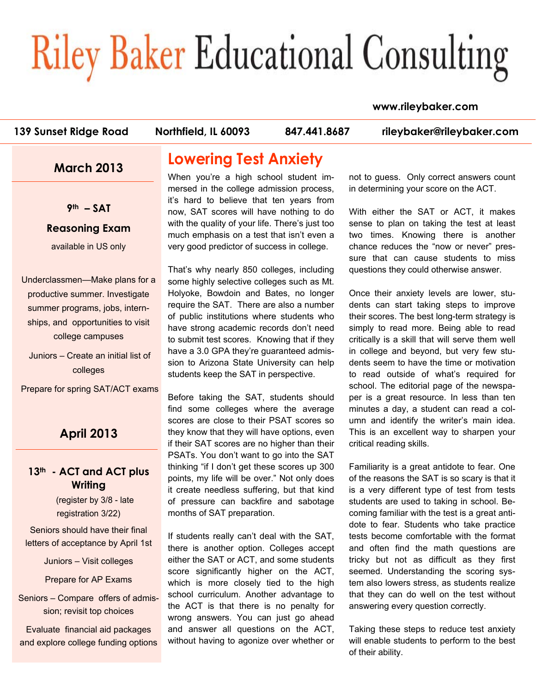# **Riley Baker Educational Consulting**

#### **www.rileybaker.com**

**139 Sunset Ridge Road Northfield, IL 60093 847.441.8687 rileybaker@rileybaker.com**

## **March 2013**

**9th – SAT** 

#### **Reasoning Exam**

available in US only

Underclassmen—Make plans for a productive summer. Investigate summer programs, jobs, internships, and opportunities to visit college campuses

 Juniors – Create an initial list of colleges

Prepare for spring SAT/ACT exams

## **April 2013**

#### **13th - ACT and ACT plus Writing**

(register by 3/8 - late registration 3/22)

Seniors should have their final letters of acceptance by April 1st

Juniors – Visit colleges

Prepare for AP Exams

Seniors – Compare offers of admission; revisit top choices

Evaluate financial aid packages and explore college funding options

# **Lowering Test Anxiety**

When you're a high school student immersed in the college admission process, it's hard to believe that ten years from now, SAT scores will have nothing to do with the quality of your life. There's just too much emphasis on a test that isn't even a very good predictor of success in college.

That's why nearly 850 colleges, including some highly selective colleges such as Mt. Holyoke, Bowdoin and Bates, no longer require the SAT. There are also a number of public institutions where students who have strong academic records don't need to submit test scores. Knowing that if they have a 3.0 GPA they're guaranteed admission to Arizona State University can help students keep the SAT in perspective.

Before taking the SAT, students should find some colleges where the average scores are close to their PSAT scores so they know that they will have options, even if their SAT scores are no higher than their PSATs. You don't want to go into the SAT thinking "if I don't get these scores up 300 points, my life will be over." Not only does it create needless suffering, but that kind of pressure can backfire and sabotage months of SAT preparation.

If students really can't deal with the SAT, there is another option. Colleges accept either the SAT or ACT, and some students score significantly higher on the ACT, which is more closely tied to the high school curriculum. Another advantage to the ACT is that there is no penalty for wrong answers. You can just go ahead and answer all questions on the ACT, without having to agonize over whether or

not to guess. Only correct answers count in determining your score on the ACT.

With either the SAT or ACT, it makes sense to plan on taking the test at least two times. Knowing there is another chance reduces the "now or never" pressure that can cause students to miss questions they could otherwise answer.

Once their anxiety levels are lower, students can start taking steps to improve their scores. The best long-term strategy is simply to read more. Being able to read critically is a skill that will serve them well in college and beyond, but very few students seem to have the time or motivation to read outside of what's required for school. The editorial page of the newspaper is a great resource. In less than ten minutes a day, a student can read a column and identify the writer's main idea. This is an excellent way to sharpen your critical reading skills.

Familiarity is a great antidote to fear. One of the reasons the SAT is so scary is that it is a very different type of test from tests students are used to taking in school. Becoming familiar with the test is a great antidote to fear. Students who take practice tests become comfortable with the format and often find the math questions are tricky but not as difficult as they first seemed. Understanding the scoring system also lowers stress, as students realize that they can do well on the test without answering every question correctly.

Taking these steps to reduce test anxiety will enable students to perform to the best of their ability.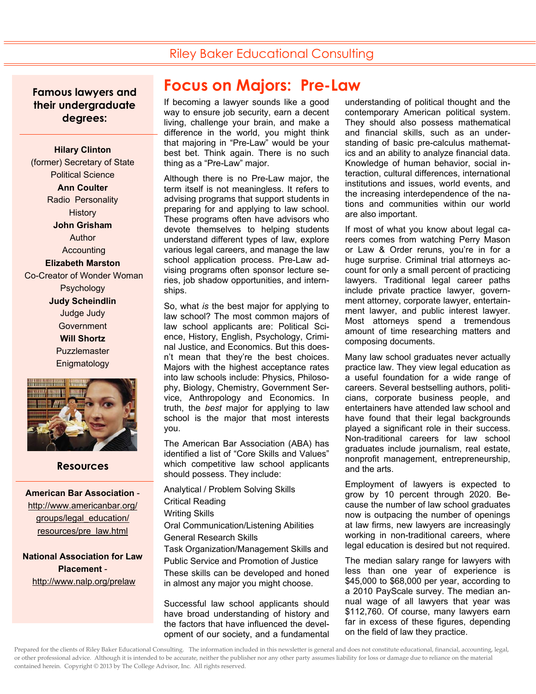## Riley Baker Educational Consulting

**Famous lawyers and their undergraduate degrees:** 

**Hilary Clinton**  (former) Secretary of State Political Science **Ann Coulter**  Radio Personality **History John Grisham**  Author Accounting **Elizabeth Marston**  Co-Creator of Wonder Woman Psychology **Judy Scheindlin**  Judge Judy **Government Will Shortz Puzzlemaster Enigmatology** 



#### **Resources**   $\overline{a}$

**American Bar Association**  http://www.americanbar.org/ groups/legal\_education/ resources/pre\_law.html

**National Association for Law Placement**  http://www.nalp.org/prelaw

# **Focus on Majors: Pre-Law**

If becoming a lawyer sounds like a good way to ensure job security, earn a decent living, challenge your brain, and make a difference in the world, you might think that majoring in "Pre-Law" would be your best bet. Think again. There is no such thing as a "Pre-Law" major.

Although there is no Pre-Law major, the term itself is not meaningless. It refers to advising programs that support students in preparing for and applying to law school. These programs often have advisors who devote themselves to helping students understand different types of law, explore various legal careers, and manage the law school application process. Pre-Law advising programs often sponsor lecture series, job shadow opportunities, and internships.

So, what *is* the best major for applying to law school? The most common majors of law school applicants are: Political Science, History, English, Psychology, Criminal Justice, and Economics. But this doesn't mean that they're the best choices. Majors with the highest acceptance rates into law schools include: Physics, Philosophy, Biology, Chemistry, Government Service, Anthropology and Economics. In truth, the *best* major for applying to law school is the major that most interests you.

The American Bar Association (ABA) has identified a list of "Core Skills and Values" which competitive law school applicants should possess. They include:

Analytical / Problem Solving Skills Critical Reading Writing Skills Oral Communication/Listening Abilities General Research Skills Task Organization/Management Skills and Public Service and Promotion of Justice These skills can be developed and honed in almost any major you might choose.

Successful law school applicants should have broad understanding of history and the factors that have influenced the development of our society, and a fundamental understanding of political thought and the contemporary American political system. They should also possess mathematical and financial skills, such as an understanding of basic pre-calculus mathematics and an ability to analyze financial data. Knowledge of human behavior, social interaction, cultural differences, international institutions and issues, world events, and the increasing interdependence of the nations and communities within our world are also important.

If most of what you know about legal careers comes from watching Perry Mason or Law & Order reruns, you're in for a huge surprise. Criminal trial attorneys account for only a small percent of practicing lawyers. Traditional legal career paths include private practice lawyer, government attorney, corporate lawyer, entertainment lawyer, and public interest lawyer. Most attorneys spend a tremendous amount of time researching matters and composing documents.

Many law school graduates never actually practice law. They view legal education as a useful foundation for a wide range of careers. Several bestselling authors, politicians, corporate business people, and entertainers have attended law school and have found that their legal backgrounds played a significant role in their success. Non-traditional careers for law school graduates include journalism, real estate, nonprofit management, entrepreneurship, and the arts.

Employment of lawyers is expected to grow by 10 percent through 2020. Because the number of law school graduates now is outpacing the number of openings at law firms, new lawyers are increasingly working in non-traditional careers, where legal education is desired but not required.

The median salary range for lawyers with less than one year of experience is \$45,000 to \$68,000 per year, according to a 2010 PayScale survey. The median annual wage of all lawyers that year was \$112,760. Of course, many lawyers earn far in excess of these figures, depending on the field of law they practice.

Prepared for the clients of Riley Baker Educational Consulting. The information included in this newsletter is general and does not constitute educational, financial, accounting, legal, or other professional advice. Although it is intended to be accurate, neither the publisher nor any other party assumes liability for loss or damage due to reliance on the material contained herein. Copyright © 2013 by The College Advisor, Inc. All rights reserved.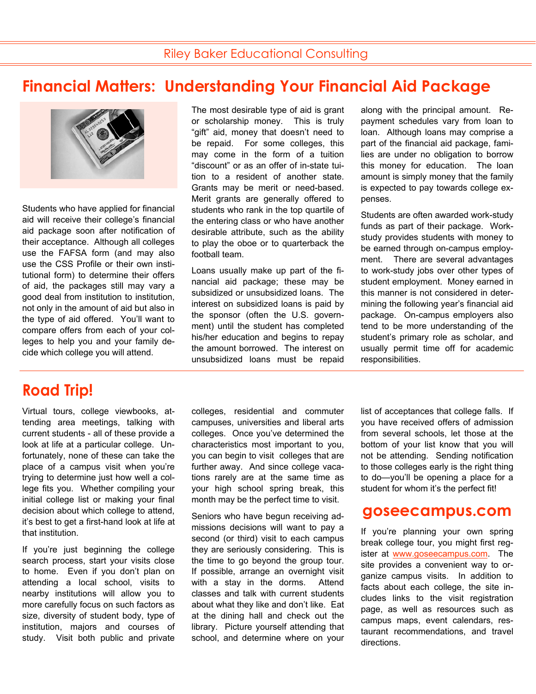# **Financial Matters: Understanding Your Financial Aid Package**



Students who have applied for financial aid will receive their college's financial aid package soon after notification of their acceptance. Although all colleges use the FAFSA form (and may also use the CSS Profile or their own institutional form) to determine their offers of aid, the packages still may vary a good deal from institution to institution, not only in the amount of aid but also in the type of aid offered. You'll want to compare offers from each of your colleges to help you and your family decide which college you will attend.

# **Road Trip!**

Virtual tours, college viewbooks, attending area meetings, talking with current students - all of these provide a look at life at a particular college. Unfortunately, none of these can take the place of a campus visit when you're trying to determine just how well a college fits you. Whether compiling your initial college list or making your final decision about which college to attend, it's best to get a first-hand look at life at that institution.

If you're just beginning the college search process, start your visits close to home. Even if you don't plan on attending a local school, visits to nearby institutions will allow you to more carefully focus on such factors as size, diversity of student body, type of institution, majors and courses of study. Visit both public and private The most desirable type of aid is grant or scholarship money. This is truly "gift" aid, money that doesn't need to be repaid. For some colleges, this may come in the form of a tuition "discount" or as an offer of in-state tuition to a resident of another state. Grants may be merit or need-based. Merit grants are generally offered to students who rank in the top quartile of the entering class or who have another desirable attribute, such as the ability to play the oboe or to quarterback the football team.

Loans usually make up part of the financial aid package; these may be subsidized or unsubsidized loans. The interest on subsidized loans is paid by the sponsor (often the U.S. government) until the student has completed his/her education and begins to repay the amount borrowed. The interest on unsubsidized loans must be repaid along with the principal amount. Repayment schedules vary from loan to loan. Although loans may comprise a part of the financial aid package, families are under no obligation to borrow this money for education. The loan amount is simply money that the family is expected to pay towards college expenses.

Students are often awarded work-study funds as part of their package. Workstudy provides students with money to be earned through on-campus employment. There are several advantages to work-study jobs over other types of student employment. Money earned in this manner is not considered in determining the following year's financial aid package. On-campus employers also tend to be more understanding of the student's primary role as scholar, and usually permit time off for academic responsibilities.

colleges, residential and commuter campuses, universities and liberal arts colleges. Once you've determined the characteristics most important to you, you can begin to visit colleges that are further away. And since college vacations rarely are at the same time as your high school spring break, this month may be the perfect time to visit.

Seniors who have begun receiving admissions decisions will want to pay a second (or third) visit to each campus they are seriously considering. This is the time to go beyond the group tour. If possible, arrange an overnight visit with a stay in the dorms. Attend classes and talk with current students about what they like and don't like. Eat at the dining hall and check out the library. Picture yourself attending that school, and determine where on your list of acceptances that college falls. If you have received offers of admission from several schools, let those at the bottom of your list know that you will not be attending. Sending notification to those colleges early is the right thing to do—you'll be opening a place for a student for whom it's the perfect fit!

### **goseecampus.com**

If you're planning your own spring break college tour, you might first register at www.goseecampus.com. The site provides a convenient way to organize campus visits. In addition to facts about each college, the site includes links to the visit registration page, as well as resources such as campus maps, event calendars, restaurant recommendations, and travel directions.